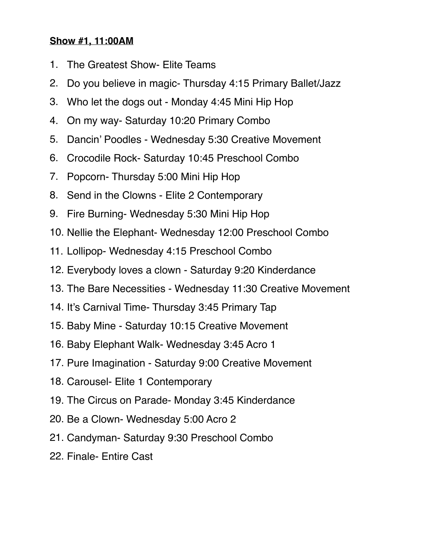## **Show #1, 11:00AM**

- 1. The Greatest Show- Elite Teams
- 2. Do you believe in magic- Thursday 4:15 Primary Ballet/Jazz
- 3. Who let the dogs out Monday 4:45 Mini Hip Hop
- 4. On my way- Saturday 10:20 Primary Combo
- 5. Dancin' Poodles Wednesday 5:30 Creative Movement
- 6. Crocodile Rock- Saturday 10:45 Preschool Combo
- 7. Popcorn- Thursday 5:00 Mini Hip Hop
- 8. Send in the Clowns Elite 2 Contemporary
- 9. Fire Burning- Wednesday 5:30 Mini Hip Hop
- 10. Nellie the Elephant- Wednesday 12:00 Preschool Combo
- 11. Lollipop- Wednesday 4:15 Preschool Combo
- 12. Everybody loves a clown Saturday 9:20 Kinderdance
- 13. The Bare Necessities Wednesday 11:30 Creative Movement
- 14. It's Carnival Time- Thursday 3:45 Primary Tap
- 15. Baby Mine Saturday 10:15 Creative Movement
- 16. Baby Elephant Walk- Wednesday 3:45 Acro 1
- 17. Pure Imagination Saturday 9:00 Creative Movement
- 18. Carousel- Elite 1 Contemporary
- 19. The Circus on Parade- Monday 3:45 Kinderdance
- 20. Be a Clown- Wednesday 5:00 Acro 2
- 21. Candyman- Saturday 9:30 Preschool Combo
- 22. Finale- Entire Cast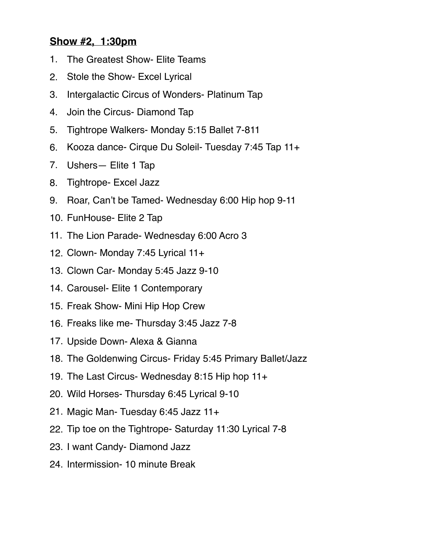## **Show #2, 1:30pm**

- 1. The Greatest Show- Elite Teams
- 2. Stole the Show- Excel Lyrical
- 3. Intergalactic Circus of Wonders- Platinum Tap
- 4. Join the Circus- Diamond Tap
- 5. Tightrope Walkers- Monday 5:15 Ballet 7-811
- 6. Kooza dance- Cirque Du Soleil- Tuesday 7:45 Tap 11+
- 7. Ushers— Elite 1 Tap
- 8. Tightrope- Excel Jazz
- 9. Roar, Can't be Tamed- Wednesday 6:00 Hip hop 9-11
- 10. FunHouse- Elite 2 Tap
- 11. The Lion Parade- Wednesday 6:00 Acro 3
- 12. Clown- Monday 7:45 Lyrical 11+
- 13. Clown Car- Monday 5:45 Jazz 9-10
- 14. Carousel- Elite 1 Contemporary
- 15. Freak Show- Mini Hip Hop Crew
- 16. Freaks like me- Thursday 3:45 Jazz 7-8
- 17. Upside Down- Alexa & Gianna
- 18. The Goldenwing Circus- Friday 5:45 Primary Ballet/Jazz
- 19. The Last Circus- Wednesday 8:15 Hip hop 11+
- 20. Wild Horses- Thursday 6:45 Lyrical 9-10
- 21. Magic Man- Tuesday 6:45 Jazz 11+
- 22. Tip toe on the Tightrope- Saturday 11:30 Lyrical 7-8
- 23. I want Candy- Diamond Jazz
- 24. Intermission- 10 minute Break